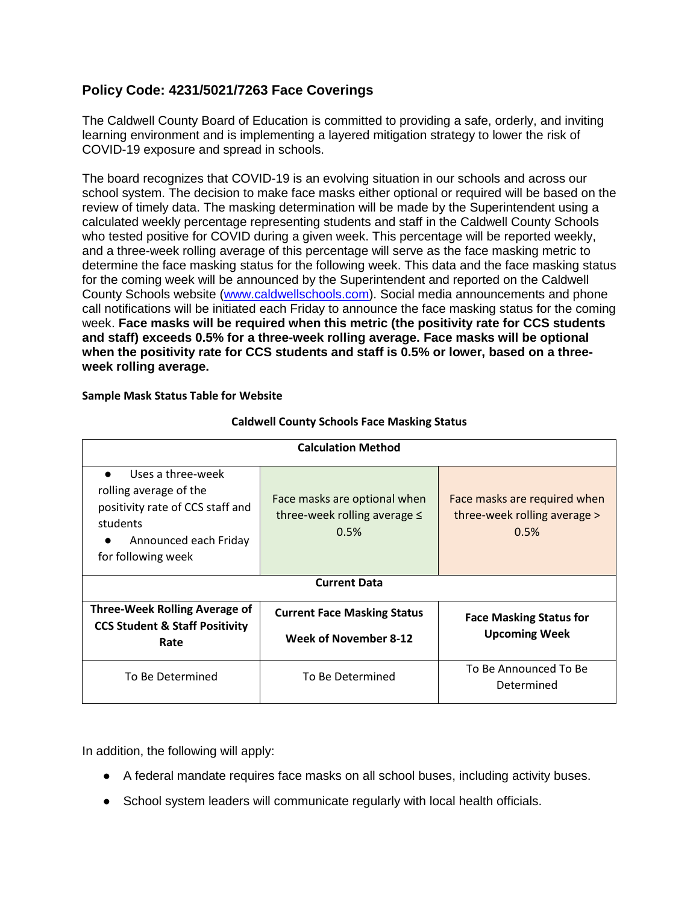## **Policy Code: 4231/5021/7263 Face Coverings**

The Caldwell County Board of Education is committed to providing a safe, orderly, and inviting learning environment and is implementing a layered mitigation strategy to lower the risk of COVID-19 exposure and spread in schools.

The board recognizes that COVID-19 is an evolving situation in our schools and across our school system. The decision to make face masks either optional or required will be based on the review of timely data. The masking determination will be made by the Superintendent using a calculated weekly percentage representing students and staff in the Caldwell County Schools who tested positive for COVID during a given week. This percentage will be reported weekly, and a three-week rolling average of this percentage will serve as the face masking metric to determine the face masking status for the following week. This data and the face masking status for the coming week will be announced by the Superintendent and reported on the Caldwell County Schools website [\(www.caldwellschools.com\)](http://www.caldwellschools.com/). Social media announcements and phone call notifications will be initiated each Friday to announce the face masking status for the coming week. **Face masks will be required when this metric (the positivity rate for CCS students and staff) exceeds 0.5% for a three-week rolling average. Face masks will be optional when the positivity rate for CCS students and staff is 0.5% or lower, based on a threeweek rolling average.**

| <b>Calculation Method</b>                                                                                                                  |                                                                           |                                                                      |
|--------------------------------------------------------------------------------------------------------------------------------------------|---------------------------------------------------------------------------|----------------------------------------------------------------------|
| Uses a three-week<br>rolling average of the<br>positivity rate of CCS staff and<br>students<br>Announced each Friday<br>for following week | Face masks are optional when<br>three-week rolling average $\leq$<br>0.5% | Face masks are required when<br>three-week rolling average ><br>0.5% |
| <b>Current Data</b>                                                                                                                        |                                                                           |                                                                      |
| Three-Week Rolling Average of<br><b>CCS Student &amp; Staff Positivity</b><br>Rate                                                         | <b>Current Face Masking Status</b><br>Week of November 8-12               | <b>Face Masking Status for</b><br><b>Upcoming Week</b>               |
| To Be Determined                                                                                                                           | To Be Determined                                                          | To Be Announced To Be<br>Determined                                  |

**Sample Mask Status Table for Website**

## **Caldwell County Schools Face Masking Status**

In addition, the following will apply:

- A federal mandate requires face masks on all school buses, including activity buses.
- School system leaders will communicate regularly with local health officials.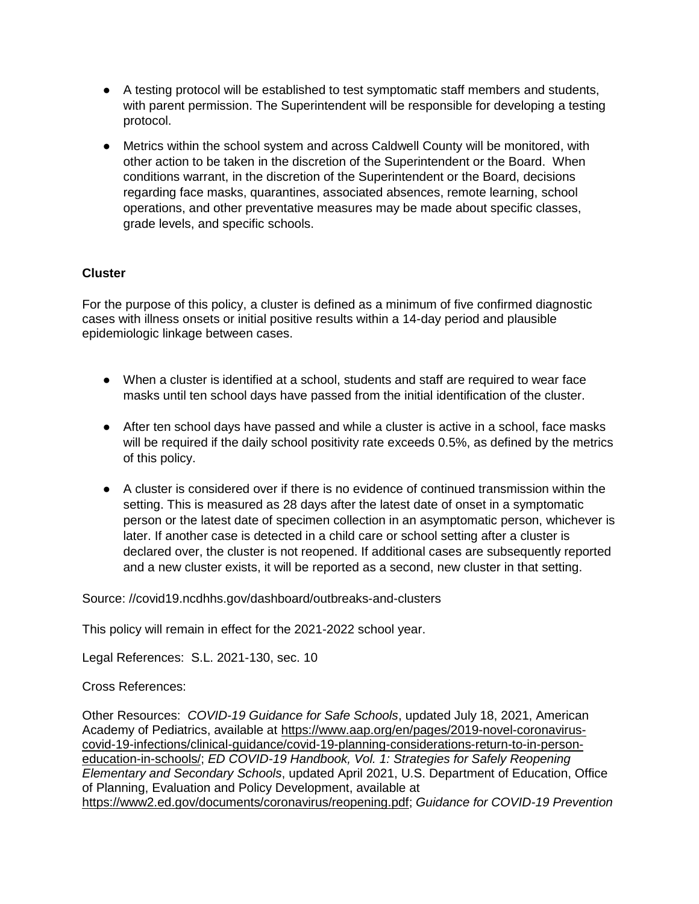- A testing protocol will be established to test symptomatic staff members and students, with parent permission. The Superintendent will be responsible for developing a testing protocol.
- Metrics within the school system and across Caldwell County will be monitored, with other action to be taken in the discretion of the Superintendent or the Board. When conditions warrant, in the discretion of the Superintendent or the Board, decisions regarding face masks, quarantines, associated absences, remote learning, school operations, and other preventative measures may be made about specific classes, grade levels, and specific schools.

## **Cluster**

For the purpose of this policy, a cluster is defined as a minimum of five confirmed diagnostic cases with illness onsets or initial positive results within a 14-day period and plausible epidemiologic linkage between cases.

- When a cluster is identified at a school, students and staff are required to wear face masks until ten school days have passed from the initial identification of the cluster.
- After ten school days have passed and while a cluster is active in a school, face masks will be required if the daily school positivity rate exceeds 0.5%, as defined by the metrics of this policy.
- A cluster is considered over if there is no evidence of continued transmission within the setting. This is measured as 28 days after the latest date of onset in a symptomatic person or the latest date of specimen collection in an asymptomatic person, whichever is later. If another case is detected in a child care or school setting after a cluster is declared over, the cluster is not reopened. If additional cases are subsequently reported and a new cluster exists, it will be reported as a second, new cluster in that setting.

Source: //covid19.ncdhhs.gov/dashboard/outbreaks-and-clusters

This policy will remain in effect for the 2021-2022 school year.

Legal References: S.L. 2021-130, sec. 10

Cross References:

Other Resources: *COVID-19 Guidance for Safe Schools*, updated July 18, 2021, American Academy of Pediatrics, available at [https://www.aap.org/en/pages/2019-novel-coronavirus](https://www.aap.org/en/pages/2019-novel-coronavirus-covid-19-infections/clinical-guidance/covid-19-planning-considerations-return-to-in-person-education-in-schools/)[covid-19-infections/clinical-guidance/covid-19-planning-considerations-return-to-in-person](https://www.aap.org/en/pages/2019-novel-coronavirus-covid-19-infections/clinical-guidance/covid-19-planning-considerations-return-to-in-person-education-in-schools/)[education-in-schools/;](https://www.aap.org/en/pages/2019-novel-coronavirus-covid-19-infections/clinical-guidance/covid-19-planning-considerations-return-to-in-person-education-in-schools/) *ED COVID-19 Handbook, Vol. 1: Strategies for Safely Reopening Elementary and Secondary Schools*, updated April 2021, U.S. Department of Education, Office of Planning, Evaluation and Policy Development, available at [https://www2.ed.gov/documents/coronavirus/reopening.pdf;](https://www2.ed.gov/documents/coronavirus/reopening.pdf) *Guidance for COVID-19 Prevention*